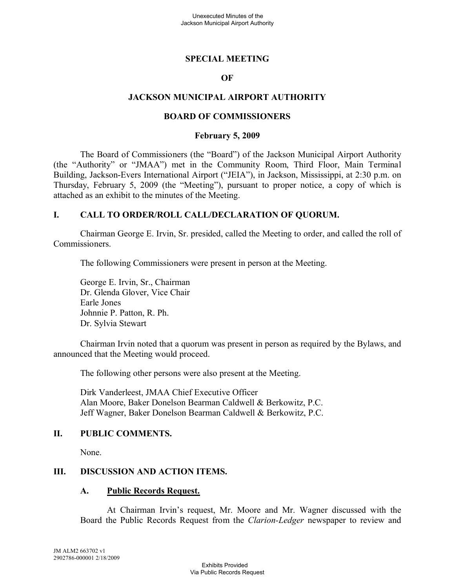## **SPECIAL MEETING**

### **OF**

## **JACKSON MUNICIPAL AIRPORT AUTHORITY**

#### **BOARD OF COMMISSIONERS**

#### **February 5, 2009**

The Board of Commissioners (the "Board") of the Jackson Municipal Airport Authority (the "Authority" or "JMAA") met in the Community Room, Third Floor, Main Terminal Building, Jackson-Evers International Airport ("JEIA"), in Jackson, Mississippi, at 2:30 p.m. on Thursday, February 5, 2009 (the "Meeting"), pursuant to proper notice, a copy of which is attached as an exhibit to the minutes of the Meeting.

## **I. CALL TO ORDER/ROLL CALL/DECLARATION OF QUORUM.**

Chairman George E. Irvin, Sr. presided, called the Meeting to order, and called the roll of Commissioners.

The following Commissioners were present in person at the Meeting.

George E. Irvin, Sr., Chairman Dr. Glenda Glover, Vice Chair Earle Jones Johnnie P. Patton, R. Ph. Dr. Sylvia Stewart

Chairman Irvin noted that a quorum was present in person as required by the Bylaws, and announced that the Meeting would proceed.

The following other persons were also present at the Meeting.

Dirk Vanderleest, JMAA Chief Executive Officer Alan Moore, Baker Donelson Bearman Caldwell & Berkowitz, P.C. Jeff Wagner, Baker Donelson Bearman Caldwell & Berkowitz, P.C.

### **II. PUBLIC COMMENTS.**

None.

# **III. DISCUSSION AND ACTION ITEMS.**

#### **A. Public Records Request.**

At Chairman Irvin's request, Mr. Moore and Mr. Wagner discussed with the Board the Public Records Request from the *Clarion-Ledger* newspaper to review and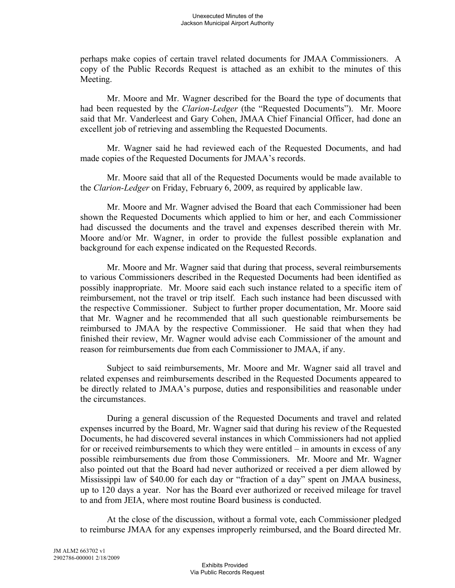perhaps make copies of certain travel related documents for JMAA Commissioners. A copy of the Public Records Request is attached as an exhibit to the minutes of this Meeting.

Mr. Moore and Mr. Wagner described for the Board the type of documents that had been requested by the *Clarion-Ledger* (the "Requested Documents"). Mr. Moore said that Mr. Vanderleest and Gary Cohen, JMAA Chief Financial Officer, had done an excellent job of retrieving and assembling the Requested Documents.

Mr. Wagner said he had reviewed each of the Requested Documents, and had made copies of the Requested Documents for JMAA's records.

Mr. Moore said that all of the Requested Documents would be made available to the *Clarion-Ledger* on Friday, February 6, 2009, as required by applicable law.

Mr. Moore and Mr. Wagner advised the Board that each Commissioner had been shown the Requested Documents which applied to him or her, and each Commissioner had discussed the documents and the travel and expenses described therein with Mr. Moore and/or Mr. Wagner, in order to provide the fullest possible explanation and background for each expense indicated on the Requested Records.

Mr. Moore and Mr. Wagner said that during that process, several reimbursements to various Commissioners described in the Requested Documents had been identified as possibly inappropriate. Mr. Moore said each such instance related to a specific item of reimbursement, not the travel or trip itself. Each such instance had been discussed with the respective Commissioner. Subject to further proper documentation, Mr. Moore said that Mr. Wagner and he recommended that all such questionable reimbursements be reimbursed to JMAA by the respective Commissioner. He said that when they had finished their review, Mr. Wagner would advise each Commissioner of the amount and reason for reimbursements due from each Commissioner to JMAA, if any.

Subject to said reimbursements, Mr. Moore and Mr. Wagner said all travel and related expenses and reimbursements described in the Requested Documents appeared to be directly related to JMAA's purpose, duties and responsibilities and reasonable under the circumstances.

During a general discussion of the Requested Documents and travel and related expenses incurred by the Board, Mr. Wagner said that during his review of the Requested Documents, he had discovered several instances in which Commissioners had not applied for or received reimbursements to which they were entitled – in amounts in excess of any possible reimbursements due from those Commissioners. Mr. Moore and Mr. Wagner also pointed out that the Board had never authorized or received a per diem allowed by Mississippi law of \$40.00 for each day or "fraction of a day" spent on JMAA business, up to 120 days a year. Nor has the Board ever authorized or received mileage for travel to and from JEIA, where most routine Board business is conducted.

At the close of the discussion, without a formal vote, each Commissioner pledged to reimburse JMAA for any expenses improperly reimbursed, and the Board directed Mr.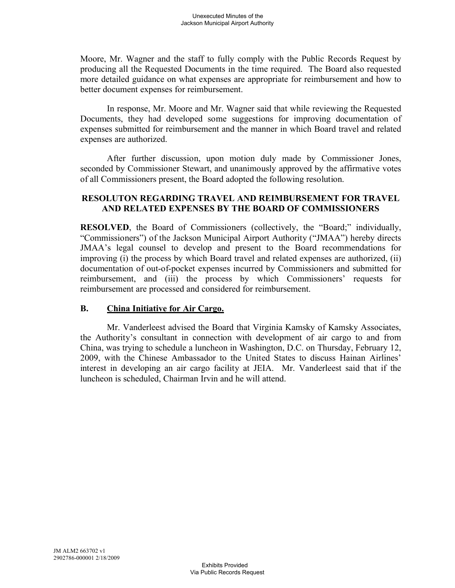Moore, Mr. Wagner and the staff to fully comply with the Public Records Request by producing all the Requested Documents in the time required. The Board also requested more detailed guidance on what expenses are appropriate for reimbursement and how to better document expenses for reimbursement.

In response, Mr. Moore and Mr. Wagner said that while reviewing the Requested Documents, they had developed some suggestions for improving documentation of expenses submitted for reimbursement and the manner in which Board travel and related expenses are authorized.

After further discussion, upon motion duly made by Commissioner Jones, seconded by Commissioner Stewart, and unanimously approved by the affirmative votes of all Commissioners present, the Board adopted the following resolution.

# **RESOLUTON REGARDING TRAVEL AND REIMBURSEMENT FOR TRAVEL AND RELATED EXPENSES BY THE BOARD OF COMMISSIONERS**

**RESOLVED**, the Board of Commissioners (collectively, the "Board;" individually, "Commissioners") of the Jackson Municipal Airport Authority ("JMAA") hereby directs JMAA's legal counsel to develop and present to the Board recommendations for improving (i) the process by which Board travel and related expenses are authorized, (ii) documentation of out-of-pocket expenses incurred by Commissioners and submitted for reimbursement, and (iii) the process by which Commissioners' requests for reimbursement are processed and considered for reimbursement.

# **B. China Initiative for Air Cargo.**

Mr. Vanderleest advised the Board that Virginia Kamsky of Kamsky Associates, the Authority's consultant in connection with development of air cargo to and from China, was trying to schedule a luncheon in Washington, D.C. on Thursday, February 12, 2009, with the Chinese Ambassador to the United States to discuss Hainan Airlines' interest in developing an air cargo facility at JEIA. Mr. Vanderleest said that if the luncheon is scheduled, Chairman Irvin and he will attend.